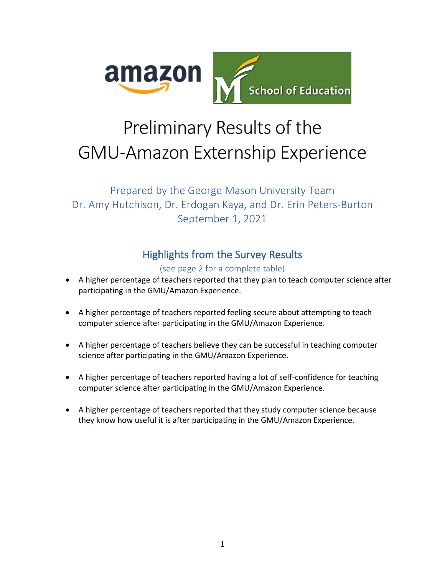

# Preliminary Results of the GMU-Amazon Externship Experience

# Prepared by the George Mason University Team Dr. Amy Hutchison, Dr. Erdogan Kaya, and Dr. Erin Peters-Burton September 1, 2021

# Highlights from the Survey Results

#### (see page 2 for a complete table)

- A higher percentage of teachers reported that they plan to teach computer science after participating in the GMU/Amazon Experience.
- A higher percentage of teachers reported feeling secure about attempting to teach computer science after participating in the GMU/Amazon Experience.
- A higher percentage of teachers believe they can be successful in teaching computer science after participating in the GMU/Amazon Experience.
- A higher percentage of teachers reported having a lot of self-confidence for teaching computer science after participating in the GMU/Amazon Experience.
- A higher percentage of teachers reported that they study computer science because they know how useful it is after participating in the GMU/Amazon Experience.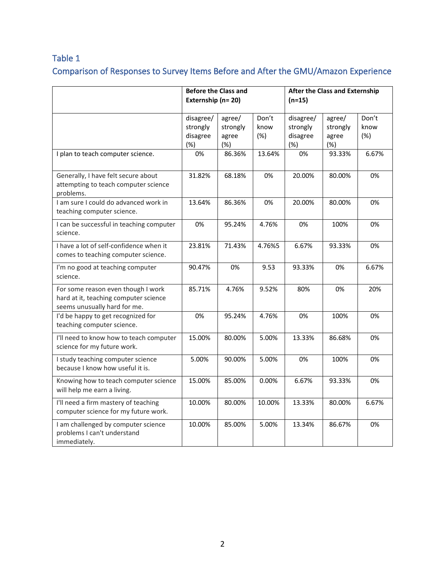### Table 1

# Comparison of Responses to Survey Items Before and After the GMU/Amazon Experience

|                                                                                                             | <b>Before the Class and</b><br>Externship (n= 20) |                                    |                      | <b>After the Class and Externship</b><br>$(n=15)$ |                                    |                      |
|-------------------------------------------------------------------------------------------------------------|---------------------------------------------------|------------------------------------|----------------------|---------------------------------------------------|------------------------------------|----------------------|
|                                                                                                             | disagree/<br>strongly<br>disagree<br>(%)          | agree/<br>strongly<br>agree<br>(%) | Don't<br>know<br>(%) | disagree/<br>strongly<br>disagree<br>(%)          | agree/<br>strongly<br>agree<br>(%) | Don't<br>know<br>(%) |
| I plan to teach computer science.                                                                           | 0%                                                | 86.36%                             | 13.64%               | 0%                                                | 93.33%                             | 6.67%                |
| Generally, I have felt secure about<br>attempting to teach computer science<br>problems.                    | 31.82%                                            | 68.18%                             | 0%                   | 20.00%                                            | 80.00%                             | 0%                   |
| I am sure I could do advanced work in<br>teaching computer science.                                         | 13.64%                                            | 86.36%                             | 0%                   | 20.00%                                            | 80.00%                             | 0%                   |
| I can be successful in teaching computer<br>science.                                                        | 0%                                                | 95.24%                             | 4.76%                | 0%                                                | 100%                               | 0%                   |
| I have a lot of self-confidence when it<br>comes to teaching computer science.                              | 23.81%                                            | 71.43%                             | 4.76%5               | 6.67%                                             | 93.33%                             | 0%                   |
| I'm no good at teaching computer<br>science.                                                                | 90.47%                                            | 0%                                 | 9.53                 | 93.33%                                            | 0%                                 | 6.67%                |
| For some reason even though I work<br>hard at it, teaching computer science<br>seems unusually hard for me. | 85.71%                                            | 4.76%                              | 9.52%                | 80%                                               | 0%                                 | 20%                  |
| I'd be happy to get recognized for<br>teaching computer science.                                            | 0%                                                | 95.24%                             | 4.76%                | 0%                                                | 100%                               | 0%                   |
| I'll need to know how to teach computer<br>science for my future work.                                      | 15.00%                                            | 80.00%                             | 5.00%                | 13.33%                                            | 86.68%                             | 0%                   |
| I study teaching computer science<br>because I know how useful it is.                                       | 5.00%                                             | 90.00%                             | 5.00%                | 0%                                                | 100%                               | 0%                   |
| Knowing how to teach computer science<br>will help me earn a living.                                        | 15.00%                                            | 85.00%                             | 0.00%                | 6.67%                                             | 93.33%                             | 0%                   |
| I'll need a firm mastery of teaching<br>computer science for my future work.                                | 10.00%                                            | 80.00%                             | 10.00%               | 13.33%                                            | 80.00%                             | 6.67%                |
| I am challenged by computer science<br>problems I can't understand<br>immediately.                          | 10.00%                                            | 85.00%                             | 5.00%                | 13.34%                                            | 86.67%                             | 0%                   |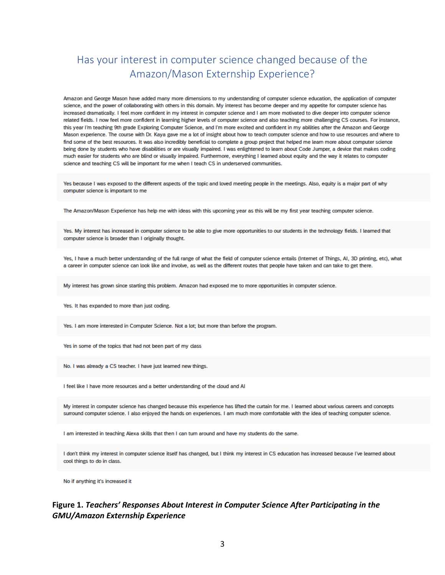## Has your interest in computer science changed because of the Amazon/Mason Externship Experience?

Amazon and George Mason have added many more dimensions to my understanding of computer science education, the application of computer science, and the power of collaborating with others in this domain. My interest has become deeper and my appetite for computer science has increased dramatically. I feel more confident in my interest in computer science and I am more motivated to dive deeper into computer science related fields. I now feel more confident in learning higher levels of computer science and also teaching more challenging CS courses. For instance, this year I'm teaching 9th grade Exploring Computer Science, and I'm more excited and confident in my abilities after the Amazon and George Mason experience. The course with Dr. Kaya gave me a lot of insight about how to teach computer science and how to use resources and where to find some of the best resources. It was also incredibly beneficial to complete a group project that helped me learn more about computer science being done by students who have disabilities or are visually impaired. I was enlightened to learn about Code Jumper, a device that makes coding much easier for students who are blind or visually impaired. Furthermore, everything I learned about equity and the way it relates to computer science and teaching CS will be important for me when I teach CS in underserved communities.

Yes because I was exposed to the different aspects of the topic and loved meeting people in the meetings. Also, equity is a major part of why computer science is important to me

The Amazon/Mason Experience has help me with ideas with this upcoming year as this will be my first year teaching computer science.

Yes. My interest has increased in computer science to be able to give more opportunities to our students in the technology fields. I learned that computer science is broader than I originally thought.

Yes, I have a much better understanding of the full range of what the field of computer science entails (Internet of Things, AI, 3D printing, etc), what a career in computer science can look like and involve, as well as the different routes that people have taken and can take to get there.

My interest has grown since starting this problem. Amazon had exposed me to more opportunities in computer science.

Yes. It has expanded to more than just coding.

Yes. I am more interested in Computer Science. Not a lot; but more than before the program.

Yes in some of the topics that had not been part of my class

No. I was already a CS teacher. I have just learned new things.

I feel like I have more resources and a better understanding of the cloud and AI

My interest in computer science has changed because this experience has lifted the curtain for me. I learned about various careers and concepts surround computer science. I also enjoyed the hands on experiences. I am much more comfortable with the idea of teaching computer science.

I am interested in teaching Alexa skills that then I can turn around and have my students do the same.

I don't think my interest in computer science itself has changed, but I think my interest in CS education has increased because I've learned about cool things to do in class.

No if anything it's increased it

#### Figure 1. Teachers' Responses About Interest in Computer Science After Participating in the **GMU/Amazon Externship Experience**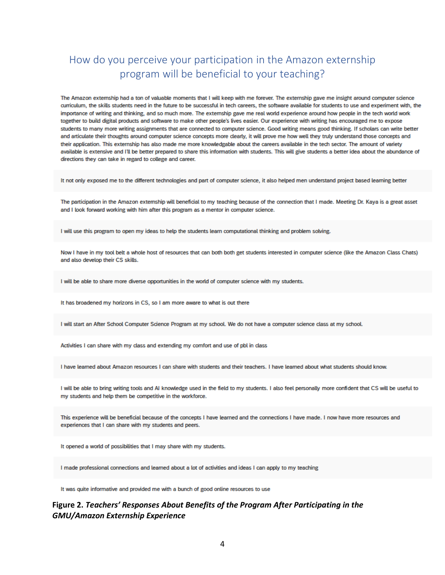# How do you perceive your participation in the Amazon externship program will be beneficial to your teaching?

The Amazon externship had a ton of valuable moments that I will keep with me forever. The externship gave me insight around computer science curriculum, the skills students need in the future to be successful in tech careers, the software available for students to use and experiment with, the importance of writing and thinking, and so much more. The externship gave me real world experience around how people in the tech world work together to build digital products and software to make other people's lives easier. Our experience with writing has encouraged me to expose students to many more writing assignments that are connected to computer science. Good writing means good thinking. If scholars can write better and articulate their thoughts around computer science concepts more clearly, it will prove me how well they truly understand those concepts and their application. This externship has also made me more knowledgable about the careers available in the tech sector. The amount of variety available is extensive and I'll be better prepared to share this information with students. This will give students a better idea about the abundance of directions they can take in regard to college and career.

It not only exposed me to the different technologies and part of computer science, it also helped men understand project based learning better

The participation in the Amazon externship will beneficial to my teaching because of the connection that I made. Meeting Dr. Kaya is a great asset and I look forward working with him after this program as a mentor in computer science.

I will use this program to open my ideas to help the students learn computational thinking and problem solving.

Now I have in my tool belt a whole host of resources that can both both get students interested in computer science (like the Amazon Class Chats) and also develop their CS skills.

I will be able to share more diverse opportunities in the world of computer science with my students.

It has broadened my horizons in CS, so I am more aware to what is out there

I will start an After School Computer Science Program at my school. We do not have a computer science class at my school.

Activities I can share with my class and extending my comfort and use of pbl in class

I have learned about Amazon resources Lcan share with students and their teachers. I have learned about what students should know

I will be able to bring writing tools and AI knowledge used in the field to my students. I also feel personally more confident that CS will be useful to my students and help them be competitive in the workforce.

This experience will be beneficial because of the concepts I have learned and the connections I have made. I now have more resources and experiences that I can share with my students and peers.

It opened a world of possibilities that I may share with my students.

I made professional connections and learned about a lot of activities and ideas I can apply to my teaching

It was quite informative and provided me with a bunch of good online resources to use

#### Figure 2. Teachers' Responses About Benefits of the Program After Participating in the **GMU/Amazon Externship Experience**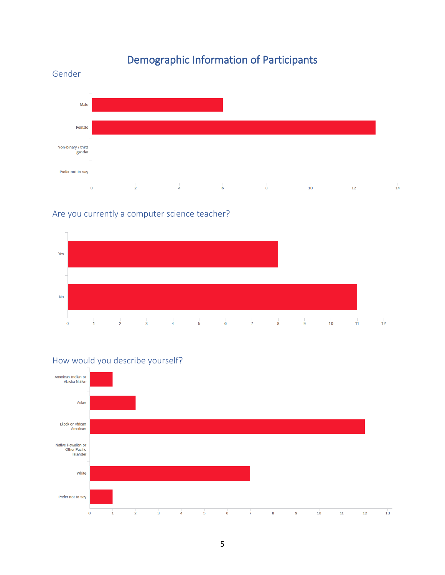# Demographic Information of Participants

#### Male Female Non-binary / third gender Prefer not to say  $\frac{1}{2}$  $\mathbf 0$  $\frac{1}{4}$  $\overline{6}$  $\overline{\mathbf{8}}$  $\overline{10}$  $12$  $14$

#### Are you currently a computer science teacher?

Gender





#### How would you describe yourself?